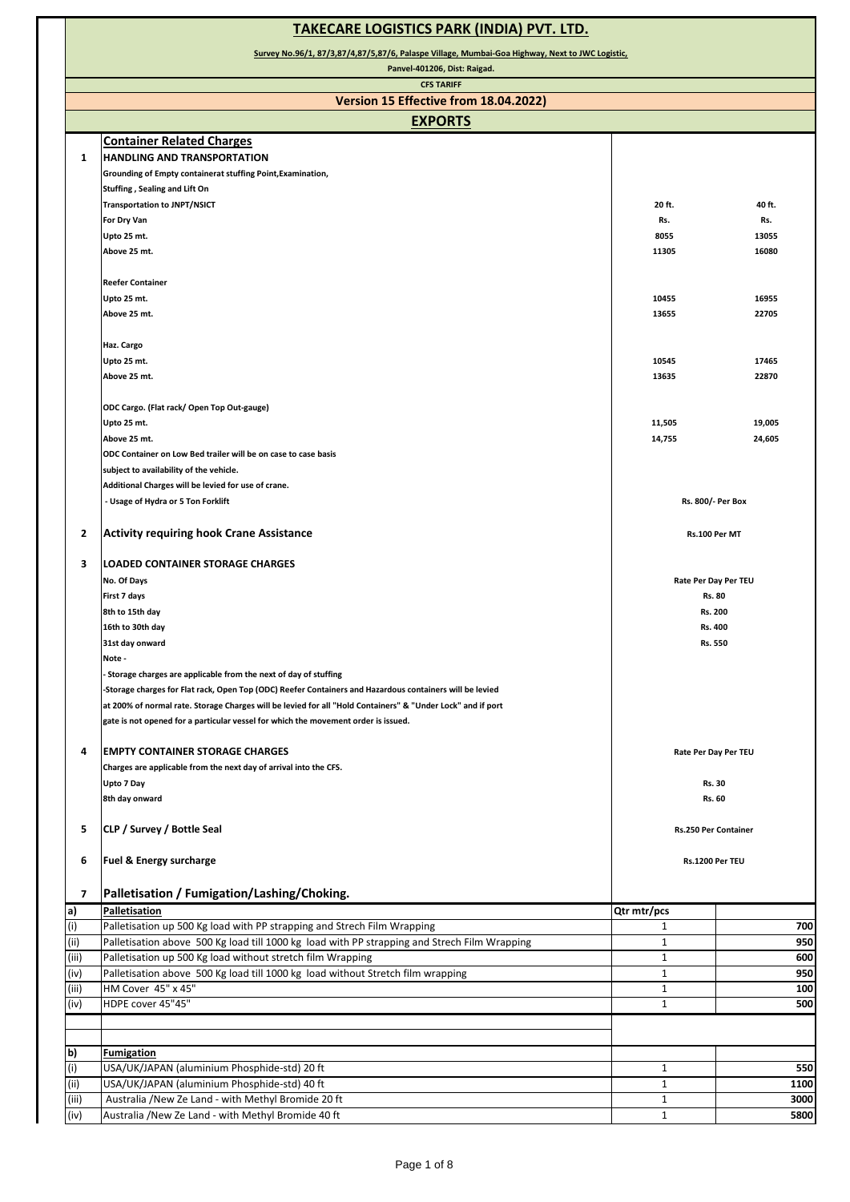| <b>TAKECARE LOGISTICS PARK (INDIA) PVT. LTD.</b>                                                |                                                                                                                                                                                                   |                      |                      |
|-------------------------------------------------------------------------------------------------|---------------------------------------------------------------------------------------------------------------------------------------------------------------------------------------------------|----------------------|----------------------|
| Survey No.96/1, 87/3,87/4,87/5,87/6, Palaspe Village, Mumbai-Goa Highway, Next to JWC Logistic, |                                                                                                                                                                                                   |                      |                      |
|                                                                                                 | Panvel-401206, Dist: Raigad.<br><b>CFS TARIFF</b>                                                                                                                                                 |                      |                      |
|                                                                                                 | Version 15 Effective from 18.04.2022)                                                                                                                                                             |                      |                      |
|                                                                                                 | <b>EXPORTS</b>                                                                                                                                                                                    |                      |                      |
|                                                                                                 | <b>Container Related Charges</b>                                                                                                                                                                  |                      |                      |
| 1                                                                                               | <b>HANDLING AND TRANSPORTATION</b>                                                                                                                                                                |                      |                      |
|                                                                                                 | Grounding of Empty containerat stuffing Point, Examination,                                                                                                                                       |                      |                      |
|                                                                                                 | Stuffing, Sealing and Lift On                                                                                                                                                                     |                      |                      |
|                                                                                                 | <b>Transportation to JNPT/NSICT</b>                                                                                                                                                               | 20 ft.               | 40 ft.               |
|                                                                                                 | For Dry Van                                                                                                                                                                                       | Rs.                  | Rs.                  |
|                                                                                                 | Upto 25 mt.                                                                                                                                                                                       | 8055                 | 13055                |
|                                                                                                 | Above 25 mt.                                                                                                                                                                                      | 11305                | 16080                |
|                                                                                                 | <b>Reefer Container</b>                                                                                                                                                                           |                      |                      |
|                                                                                                 | Upto 25 mt.                                                                                                                                                                                       | 10455                | 16955                |
|                                                                                                 | Above 25 mt.                                                                                                                                                                                      | 13655                | 22705                |
|                                                                                                 |                                                                                                                                                                                                   |                      |                      |
|                                                                                                 | Haz. Cargo                                                                                                                                                                                        |                      |                      |
|                                                                                                 | Upto 25 mt.                                                                                                                                                                                       | 10545                | 17465                |
|                                                                                                 | Above 25 mt.                                                                                                                                                                                      | 13635                | 22870                |
|                                                                                                 |                                                                                                                                                                                                   |                      |                      |
|                                                                                                 | ODC Cargo. (Flat rack/ Open Top Out-gauge)                                                                                                                                                        |                      |                      |
|                                                                                                 | Upto 25 mt.<br>Above 25 mt.                                                                                                                                                                       | 11,505<br>14,755     | 19,005<br>24,605     |
|                                                                                                 | ODC Container on Low Bed trailer will be on case to case basis                                                                                                                                    |                      |                      |
|                                                                                                 | subject to availability of the vehicle.                                                                                                                                                           |                      |                      |
|                                                                                                 | Additional Charges will be levied for use of crane.                                                                                                                                               |                      |                      |
|                                                                                                 | - Usage of Hydra or 5 Ton Forklift                                                                                                                                                                |                      | Rs. 800/- Per Box    |
|                                                                                                 |                                                                                                                                                                                                   |                      |                      |
| 2                                                                                               | <b>Activity requiring hook Crane Assistance</b>                                                                                                                                                   | Rs.100 Per MT        |                      |
| 3                                                                                               | <b>ILOADED CONTAINER STORAGE CHARGES</b>                                                                                                                                                          |                      |                      |
|                                                                                                 | No. Of Days                                                                                                                                                                                       |                      | Rate Per Day Per TEU |
|                                                                                                 | First 7 days                                                                                                                                                                                      | Rs. 80               |                      |
|                                                                                                 | 8th to 15th day                                                                                                                                                                                   | Rs. 200              |                      |
|                                                                                                 | 16th to 30th day                                                                                                                                                                                  | Rs. 400              |                      |
|                                                                                                 | 31st day onward                                                                                                                                                                                   | Rs. 550              |                      |
|                                                                                                 | Note -                                                                                                                                                                                            |                      |                      |
|                                                                                                 | Storage charges are applicable from the next of day of stuffing                                                                                                                                   |                      |                      |
|                                                                                                 | -Storage charges for Flat rack, Open Top (ODC) Reefer Containers and Hazardous containers will be levied                                                                                          |                      |                      |
|                                                                                                 | at 200% of normal rate. Storage Charges will be levied for all "Hold Containers" & "Under Lock" and if port<br>gate is not opened for a particular vessel for which the movement order is issued. |                      |                      |
|                                                                                                 |                                                                                                                                                                                                   |                      |                      |
| 4                                                                                               | <b>EMPTY CONTAINER STORAGE CHARGES</b>                                                                                                                                                            | Rate Per Day Per TEU |                      |
|                                                                                                 | Charges are applicable from the next day of arrival into the CFS.                                                                                                                                 |                      |                      |
|                                                                                                 | Upto 7 Day                                                                                                                                                                                        | <b>Rs. 30</b>        |                      |
|                                                                                                 | 8th day onward                                                                                                                                                                                    | Rs. 60               |                      |
|                                                                                                 |                                                                                                                                                                                                   |                      |                      |
| 5                                                                                               | CLP / Survey / Bottle Seal                                                                                                                                                                        |                      | Rs.250 Per Container |
| 6                                                                                               | Fuel & Energy surcharge                                                                                                                                                                           | Rs.1200 Per TEU      |                      |
|                                                                                                 |                                                                                                                                                                                                   |                      |                      |
| $\overline{\mathbf{z}}$                                                                         | Palletisation / Fumigation/Lashing/Choking.                                                                                                                                                       |                      |                      |
| a)                                                                                              | Palletisation                                                                                                                                                                                     | Qtr mtr/pcs          |                      |
| (i)                                                                                             | Palletisation up 500 Kg load with PP strapping and Strech Film Wrapping                                                                                                                           | 1                    | 700                  |
| (iii)                                                                                           | Palletisation above 500 Kg load till 1000 kg load with PP strapping and Strech Film Wrapping                                                                                                      | $\mathbf{1}$         | 950                  |
| (iii)                                                                                           | Palletisation up 500 Kg load without stretch film Wrapping                                                                                                                                        | $\mathbf 1$          | 600                  |
| (iv)                                                                                            | Palletisation above 500 Kg load till 1000 kg load without Stretch film wrapping                                                                                                                   | $\mathbf{1}$         | 950                  |
| (iii)                                                                                           | HM Cover 45" x 45"                                                                                                                                                                                | $\mathbf{1}$         | 100                  |
| (iv)                                                                                            | HDPE cover 45"45"                                                                                                                                                                                 | 1                    | 500                  |
|                                                                                                 |                                                                                                                                                                                                   |                      |                      |
| $\mathbf{b}$                                                                                    | <b>Fumigation</b>                                                                                                                                                                                 |                      |                      |
| (i)                                                                                             | USA/UK/JAPAN (aluminium Phosphide-std) 20 ft                                                                                                                                                      | $\mathbf{1}$         | 550                  |
| (i)                                                                                             | USA/UK/JAPAN (aluminium Phosphide-std) 40 ft                                                                                                                                                      | $\mathbf{1}$         | 1100                 |
| (iii)                                                                                           | Australia /New Ze Land - with Methyl Bromide 20 ft                                                                                                                                                | 1                    | 3000                 |
| (iv)                                                                                            | Australia /New Ze Land - with Methyl Bromide 40 ft                                                                                                                                                | $\mathbf{1}$         | 5800                 |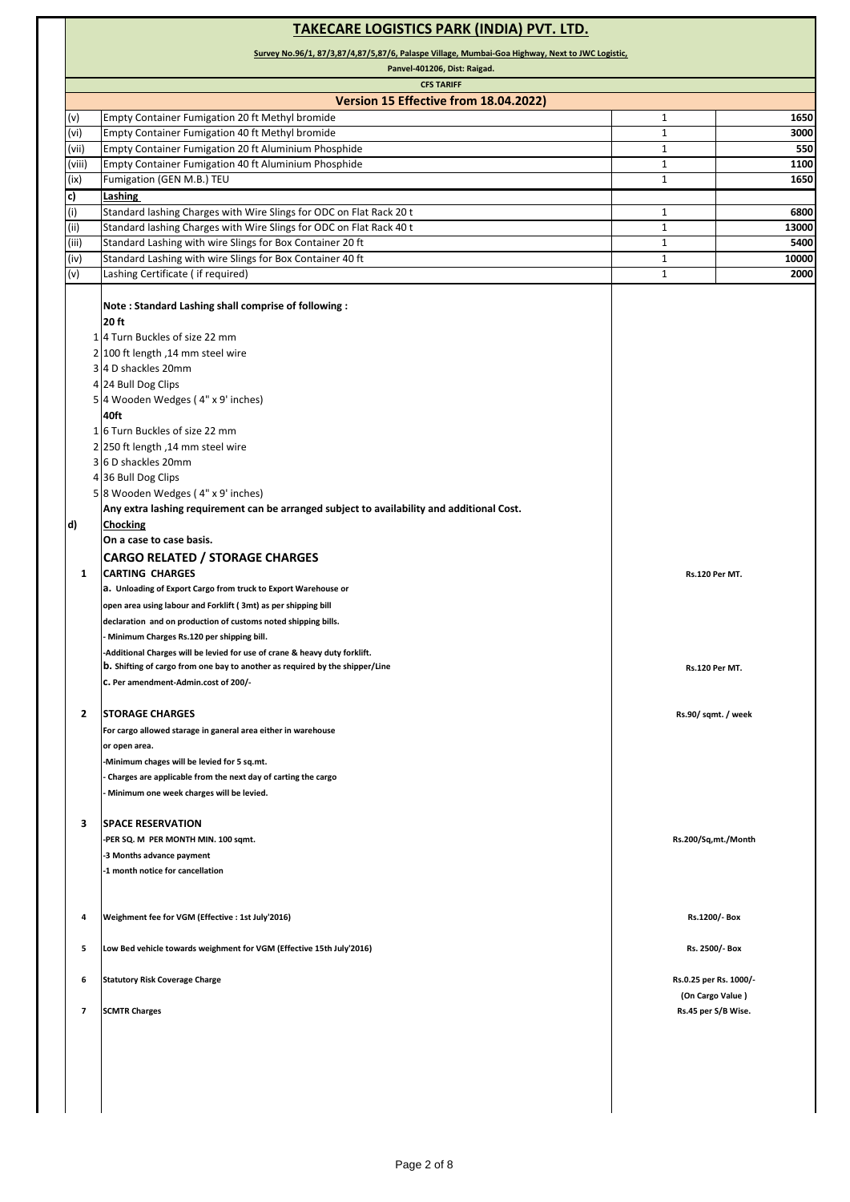#### **TAKECARE LOGISTICS PARK (INDIA) PVT. LTD. Survey No.96/1, 87/3,87/4,87/5,87/6, Palaspe Village, Mumbai-Goa Highway, Next to JWC Logistic, Panvel-401206, Dist: Raigad. CFS TARIFF Version 15 Effective from 18.04.2022)** (v) Empty Container Fumigation 20 ft Methyl bromide 1 **1650** (vi) Empty Container Fumigation 40 ft Methyl bromide 1 **3000** (vii) Empty Container Fumigation 20 ft Aluminium Phosphide 1 **550** (viii) Empty Container Fumigation 40 ft Aluminium Phosphide 1 **1100** (ix) Fumigation (GEN M.B.) TEU 1 **1650 c) Lashing**  (i) Standard lashing Charges with Wire Slings for ODC on Flat Rack 20 t 1 1 1 **6800** (ii) Standard lashing Charges with Wire Slings for ODC on Flat Rack 40 t 1 **13000** 1 **1** 1 **13000** (iii) Standard Lashing with wire Slings for Box Container 20 ft 5400 (iv) Standard Lashing with wire Slings for Box Container 40 ft 1 **10000**<br>
(v) Lashing Certificate (if required) **1** 2000 (v) Lashing Certificate ( if required) 1 **2000 2000 2000 2000 2000 2000 2000 2000 2000 2000 2000 2000 2000 2000 2000 2000 2000 2000 2000 2000 2000 2000 2000 2000 2000 2000 Note : Standard Lashing shall comprise of following : 20 ft**  1 4 Turn Buckles of size 22 mm 2 100 ft length ,14 mm steel wire 3 4 D shackles 20mm 4 24 Bull Dog Clips 5 4 Wooden Wedges ( 4" x 9' inches) **40ft** 1 6 Turn Buckles of size 22 mm 2 250 ft length ,14 mm steel wire 3 6 D shackles 20mm 4 36 Bull Dog Clips 5 8 Wooden Wedges ( 4" x 9' inches) **Any extra lashing requirement can be arranged subject to availability and additional Cost. d) Chocking On a case to case basis. CARGO RELATED / STORAGE CHARGES 1 CARTING CHARGES a. Unloading of Export Cargo from truck to Export Warehouse or open area using labour and Forklift ( 3mt) as per shipping bill declaration and on production of customs noted shipping bills. - Minimum Charges Rs.120 per shipping bill. -Additional Charges will be levied for use of crane & heavy duty forklift. b. Shifting of cargo from one bay to another as required by the shipper/Line c. Per amendment-Admin.cost of 200/- 2 STORAGE CHARGES For cargo allowed starage in ganeral area either in warehouse or open area. -Minimum chages will be levied for 5 sq.mt. - Charges are applicable from the next day of carting the cargo - Minimum one week charges will be levied. 3 SPACE RESERVATION -PER SQ. M PER MONTH MIN. 100 sqmt. -3 Months advance payment -1 month notice for cancellation 4 Weighment fee for VGM (Effective : 1st July'2016) 5 Low Bed vehicle towards weighment for VGM (Effective 15th July'2016) 6 Statutory Risk Coverage Charge 7 SCMTR Charges Rs.120 Per MT. Rs.120 Per MT. Rs.45 per S/B Wise. Rs.200/Sq,mt./Month Rs.1200/- Box Rs. 2500/- Box Rs.0.25 per Rs. 1000/- (On Cargo Value ) Rs.90/ sqmt. / week**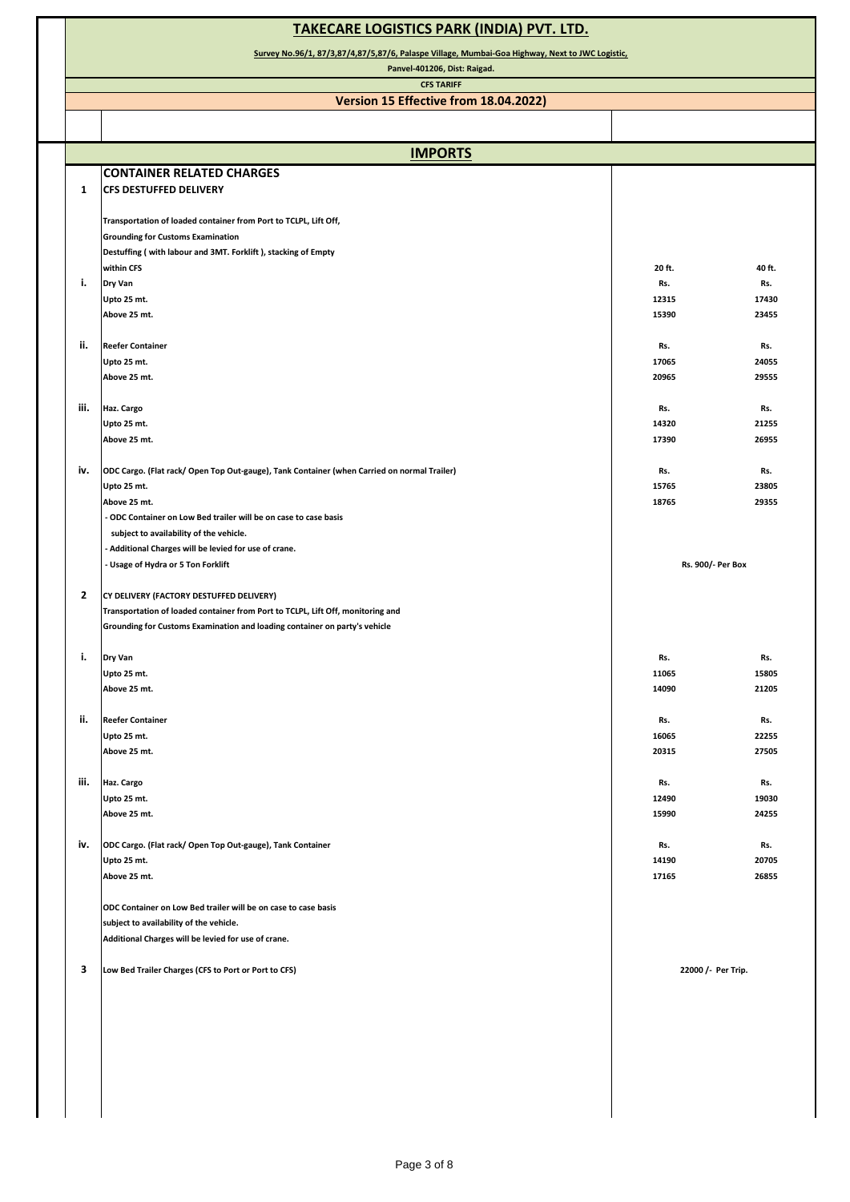|                | <b>TAKECARE LOGISTICS PARK (INDIA) PVT. LTD.</b>                                                                                                     |                    |                |  |  |
|----------------|------------------------------------------------------------------------------------------------------------------------------------------------------|--------------------|----------------|--|--|
|                | Survey No.96/1, 87/3,87/4,87/5,87/6, Palaspe Village, Mumbai-Goa Highway, Next to JWC Logistic,<br>Panvel-401206, Dist: Raigad.<br><b>CFS TARIFF</b> |                    |                |  |  |
|                |                                                                                                                                                      |                    |                |  |  |
|                | Version 15 Effective from 18.04.2022)                                                                                                                |                    |                |  |  |
|                |                                                                                                                                                      |                    |                |  |  |
|                | <b>IMPORTS</b>                                                                                                                                       |                    |                |  |  |
|                | <b>CONTAINER RELATED CHARGES</b>                                                                                                                     |                    |                |  |  |
| 1              | <b>CFS DESTUFFED DELIVERY</b>                                                                                                                        |                    |                |  |  |
|                | Transportation of loaded container from Port to TCLPL, Lift Off,                                                                                     |                    |                |  |  |
|                | <b>Grounding for Customs Examination</b>                                                                                                             |                    |                |  |  |
|                | Destuffing (with labour and 3MT. Forklift), stacking of Empty                                                                                        |                    |                |  |  |
| i.             | within CFS                                                                                                                                           | 20 ft.<br>Rs.      | 40 ft.         |  |  |
|                | Dry Van<br>Upto 25 mt.                                                                                                                               | 12315              | Rs.<br>17430   |  |  |
|                | Above 25 mt.                                                                                                                                         | 15390              | 23455          |  |  |
|                |                                                                                                                                                      |                    |                |  |  |
| ii.            | <b>Reefer Container</b><br>Upto 25 mt.                                                                                                               | Rs.<br>17065       | Rs.<br>24055   |  |  |
|                | Above 25 mt.                                                                                                                                         | 20965              | 29555          |  |  |
|                |                                                                                                                                                      |                    |                |  |  |
| iii.           | Haz. Cargo                                                                                                                                           | Rs.                | Rs.            |  |  |
|                | Upto 25 mt.<br>Above 25 mt.                                                                                                                          | 14320<br>17390     | 21255<br>26955 |  |  |
|                |                                                                                                                                                      |                    |                |  |  |
| iv.            | ODC Cargo. (Flat rack/ Open Top Out-gauge), Tank Container (when Carried on normal Trailer)                                                          | Rs.                | Rs.            |  |  |
|                | Upto 25 mt.                                                                                                                                          | 15765              | 23805<br>29355 |  |  |
|                | Above 25 mt.<br>- ODC Container on Low Bed trailer will be on case to case basis                                                                     | 18765              |                |  |  |
|                | subject to availability of the vehicle.                                                                                                              |                    |                |  |  |
|                | - Additional Charges will be levied for use of crane.                                                                                                |                    |                |  |  |
|                | - Usage of Hydra or 5 Ton Forklift                                                                                                                   | Rs. 900/- Per Box  |                |  |  |
| $\overline{2}$ | CY DELIVERY (FACTORY DESTUFFED DELIVERY)                                                                                                             |                    |                |  |  |
|                | Transportation of loaded container from Port to TCLPL, Lift Off, monitoring and                                                                      |                    |                |  |  |
|                | Grounding for Customs Examination and loading container on party's vehicle                                                                           |                    |                |  |  |
|                |                                                                                                                                                      |                    |                |  |  |
| $\mathbf{i},$  | Dry Van<br>Upto 25 mt.                                                                                                                               | Rs.<br>11065       | Rs.<br>15805   |  |  |
|                | Above 25 mt.                                                                                                                                         | 14090              | 21205          |  |  |
|                |                                                                                                                                                      |                    |                |  |  |
| ii.            | <b>Reefer Container</b>                                                                                                                              | Rs.                | Rs.            |  |  |
|                | Upto 25 mt.<br>Above 25 mt.                                                                                                                          | 16065<br>20315     | 22255<br>27505 |  |  |
|                |                                                                                                                                                      |                    |                |  |  |
| iii.           | Haz. Cargo                                                                                                                                           | Rs.                | Rs.            |  |  |
|                | Upto 25 mt.<br>Above 25 mt.                                                                                                                          | 12490<br>15990     | 19030<br>24255 |  |  |
|                |                                                                                                                                                      |                    |                |  |  |
| iv.            | ODC Cargo. (Flat rack/ Open Top Out-gauge), Tank Container                                                                                           | Rs.                | Rs.            |  |  |
|                | Upto 25 mt.                                                                                                                                          | 14190              | 20705          |  |  |
|                | Above 25 mt.                                                                                                                                         | 17165              | 26855          |  |  |
|                | ODC Container on Low Bed trailer will be on case to case basis                                                                                       |                    |                |  |  |
|                | subject to availability of the vehicle.                                                                                                              |                    |                |  |  |
|                | Additional Charges will be levied for use of crane.                                                                                                  |                    |                |  |  |
| 3              | Low Bed Trailer Charges (CFS to Port or Port to CFS)                                                                                                 | 22000 /- Per Trip. |                |  |  |
|                |                                                                                                                                                      |                    |                |  |  |
|                |                                                                                                                                                      |                    |                |  |  |
|                |                                                                                                                                                      |                    |                |  |  |
|                |                                                                                                                                                      |                    |                |  |  |
|                |                                                                                                                                                      |                    |                |  |  |
|                |                                                                                                                                                      |                    |                |  |  |
|                |                                                                                                                                                      |                    |                |  |  |
|                |                                                                                                                                                      |                    |                |  |  |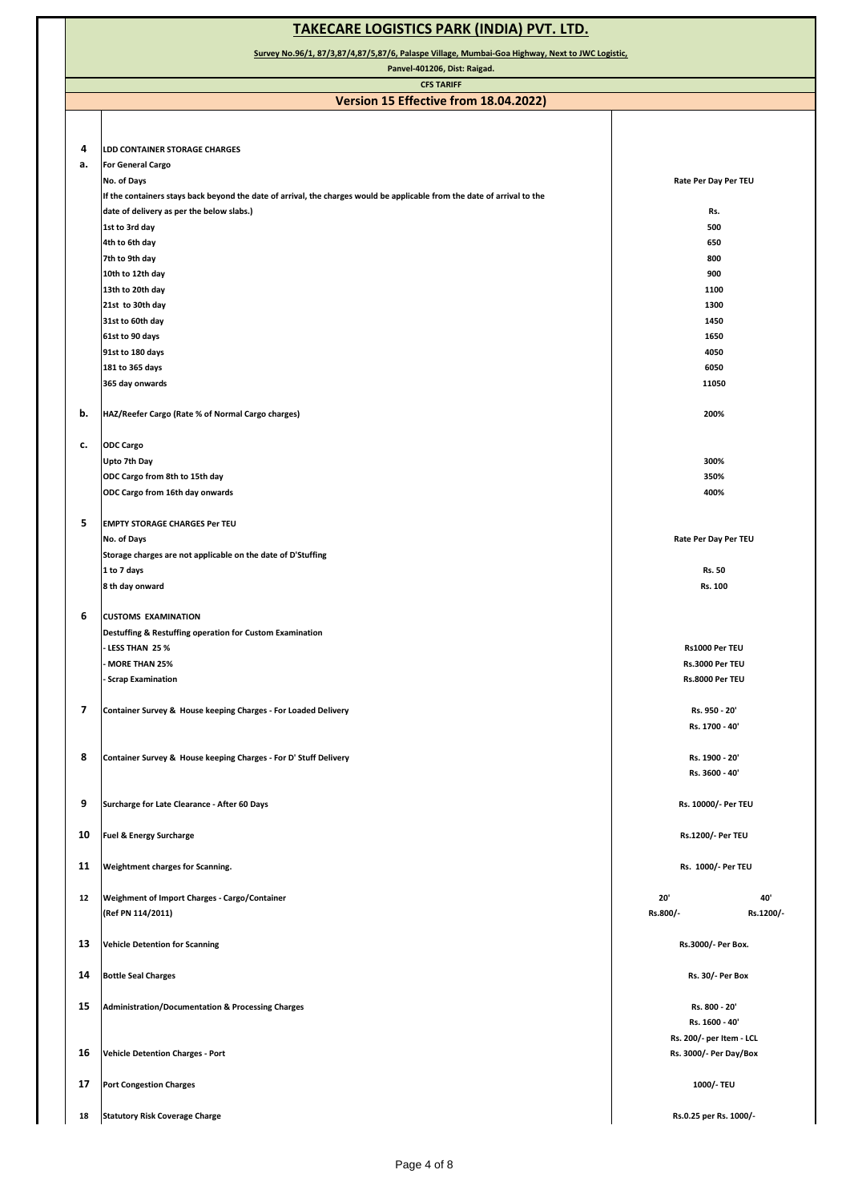| <b>TAKECARE LOGISTICS PARK (INDIA) PVT. LTD.</b>                                                                                |                                                                                                                          |                                            |  |  |
|---------------------------------------------------------------------------------------------------------------------------------|--------------------------------------------------------------------------------------------------------------------------|--------------------------------------------|--|--|
| Survey No.96/1, 87/3,87/4,87/5,87/6, Palaspe Village, Mumbai-Goa Highway, Next to JWC Logistic,<br>Panvel-401206, Dist: Raigad. |                                                                                                                          |                                            |  |  |
|                                                                                                                                 | <b>CFS TARIFF</b>                                                                                                        |                                            |  |  |
|                                                                                                                                 | Version 15 Effective from 18.04.2022)                                                                                    |                                            |  |  |
|                                                                                                                                 |                                                                                                                          |                                            |  |  |
| 4                                                                                                                               |                                                                                                                          |                                            |  |  |
| а.                                                                                                                              | LDD CONTAINER STORAGE CHARGES<br><b>For General Cargo</b>                                                                |                                            |  |  |
|                                                                                                                                 | No. of Days                                                                                                              | Rate Per Day Per TEU                       |  |  |
|                                                                                                                                 | If the containers stays back beyond the date of arrival, the charges would be applicable from the date of arrival to the |                                            |  |  |
|                                                                                                                                 | date of delivery as per the below slabs.)                                                                                | Rs.                                        |  |  |
|                                                                                                                                 | 1st to 3rd day                                                                                                           | 500                                        |  |  |
|                                                                                                                                 | 4th to 6th day                                                                                                           | 650                                        |  |  |
|                                                                                                                                 | 7th to 9th day                                                                                                           | 800                                        |  |  |
|                                                                                                                                 | 10th to 12th day                                                                                                         | 900                                        |  |  |
|                                                                                                                                 | 13th to 20th day                                                                                                         | 1100                                       |  |  |
|                                                                                                                                 | 21st to 30th day                                                                                                         | 1300                                       |  |  |
|                                                                                                                                 | 31st to 60th day                                                                                                         | 1450                                       |  |  |
|                                                                                                                                 | 61st to 90 days                                                                                                          | 1650<br>4050                               |  |  |
|                                                                                                                                 | 91st to 180 days<br>181 to 365 days                                                                                      | 6050                                       |  |  |
|                                                                                                                                 | 365 day onwards                                                                                                          | 11050                                      |  |  |
|                                                                                                                                 |                                                                                                                          |                                            |  |  |
| b.                                                                                                                              | HAZ/Reefer Cargo (Rate % of Normal Cargo charges)                                                                        | 200%                                       |  |  |
|                                                                                                                                 |                                                                                                                          |                                            |  |  |
| c.                                                                                                                              | <b>ODC Cargo</b>                                                                                                         |                                            |  |  |
|                                                                                                                                 | Upto 7th Day                                                                                                             | 300%                                       |  |  |
|                                                                                                                                 | ODC Cargo from 8th to 15th day                                                                                           | 350%                                       |  |  |
|                                                                                                                                 | ODC Cargo from 16th day onwards                                                                                          | 400%                                       |  |  |
|                                                                                                                                 |                                                                                                                          |                                            |  |  |
| 5                                                                                                                               | <b>EMPTY STORAGE CHARGES Per TEU</b>                                                                                     |                                            |  |  |
|                                                                                                                                 | No. of Days<br>Storage charges are not applicable on the date of D'Stuffing                                              | Rate Per Day Per TEU                       |  |  |
|                                                                                                                                 | 1 to 7 days                                                                                                              | Rs. 50                                     |  |  |
|                                                                                                                                 | 8 th day onward                                                                                                          | Rs. 100                                    |  |  |
|                                                                                                                                 |                                                                                                                          |                                            |  |  |
| 6                                                                                                                               | <b>CUSTOMS EXAMINATION</b>                                                                                               |                                            |  |  |
|                                                                                                                                 | Destuffing & Restuffing operation for Custom Examination<br>- LESS THAN 25 %<br>Rs1000 Per TEU                           |                                            |  |  |
|                                                                                                                                 |                                                                                                                          |                                            |  |  |
|                                                                                                                                 | <b>MORE THAN 25%</b>                                                                                                     | Rs.3000 Per TEU                            |  |  |
|                                                                                                                                 | <b>Scrap Examination</b>                                                                                                 | Rs.8000 Per TEU                            |  |  |
| $\overline{\phantom{a}}$                                                                                                        | Container Survey & House keeping Charges - For Loaded Delivery                                                           | Rs. 950 - 20'                              |  |  |
|                                                                                                                                 |                                                                                                                          | Rs. 1700 - 40'                             |  |  |
|                                                                                                                                 |                                                                                                                          |                                            |  |  |
| 8                                                                                                                               | Container Survey & House keeping Charges - For D' Stuff Delivery                                                         | Rs. 1900 - 20'                             |  |  |
|                                                                                                                                 |                                                                                                                          | Rs. 3600 - 40'                             |  |  |
|                                                                                                                                 |                                                                                                                          |                                            |  |  |
| 9                                                                                                                               | Surcharge for Late Clearance - After 60 Days                                                                             | Rs. 10000/- Per TEU                        |  |  |
|                                                                                                                                 |                                                                                                                          |                                            |  |  |
| 10                                                                                                                              | <b>Fuel &amp; Energy Surcharge</b>                                                                                       | Rs.1200/- Per TEU                          |  |  |
| 11                                                                                                                              | Weightment charges for Scanning.                                                                                         | Rs. 1000/- Per TEU                         |  |  |
|                                                                                                                                 |                                                                                                                          |                                            |  |  |
| 12                                                                                                                              | Weighment of Import Charges - Cargo/Container                                                                            | 20'<br>40'                                 |  |  |
|                                                                                                                                 | (Ref PN 114/2011)                                                                                                        | Rs.800/-<br>Rs.1200/-                      |  |  |
|                                                                                                                                 |                                                                                                                          |                                            |  |  |
| 13                                                                                                                              | <b>Vehicle Detention for Scanning</b>                                                                                    | Rs.3000/- Per Box.                         |  |  |
|                                                                                                                                 |                                                                                                                          |                                            |  |  |
| 14                                                                                                                              | <b>Bottle Seal Charges</b>                                                                                               | <b>Rs. 30/- Per Box</b>                    |  |  |
|                                                                                                                                 |                                                                                                                          |                                            |  |  |
| 15                                                                                                                              | <b>Administration/Documentation &amp; Processing Charges</b>                                                             | Rs. 800 - 20'                              |  |  |
|                                                                                                                                 |                                                                                                                          | Rs. 1600 - 40'<br>Rs. 200/- per Item - LCL |  |  |
| 16                                                                                                                              | <b>Vehicle Detention Charges - Port</b>                                                                                  | Rs. 3000/- Per Day/Box                     |  |  |
|                                                                                                                                 |                                                                                                                          |                                            |  |  |
| 17                                                                                                                              | <b>Port Congestion Charges</b><br>1000/- TEU                                                                             |                                            |  |  |
|                                                                                                                                 |                                                                                                                          |                                            |  |  |
| 18                                                                                                                              | <b>Statutory Risk Coverage Charge</b>                                                                                    | Rs.0.25 per Rs. 1000/-                     |  |  |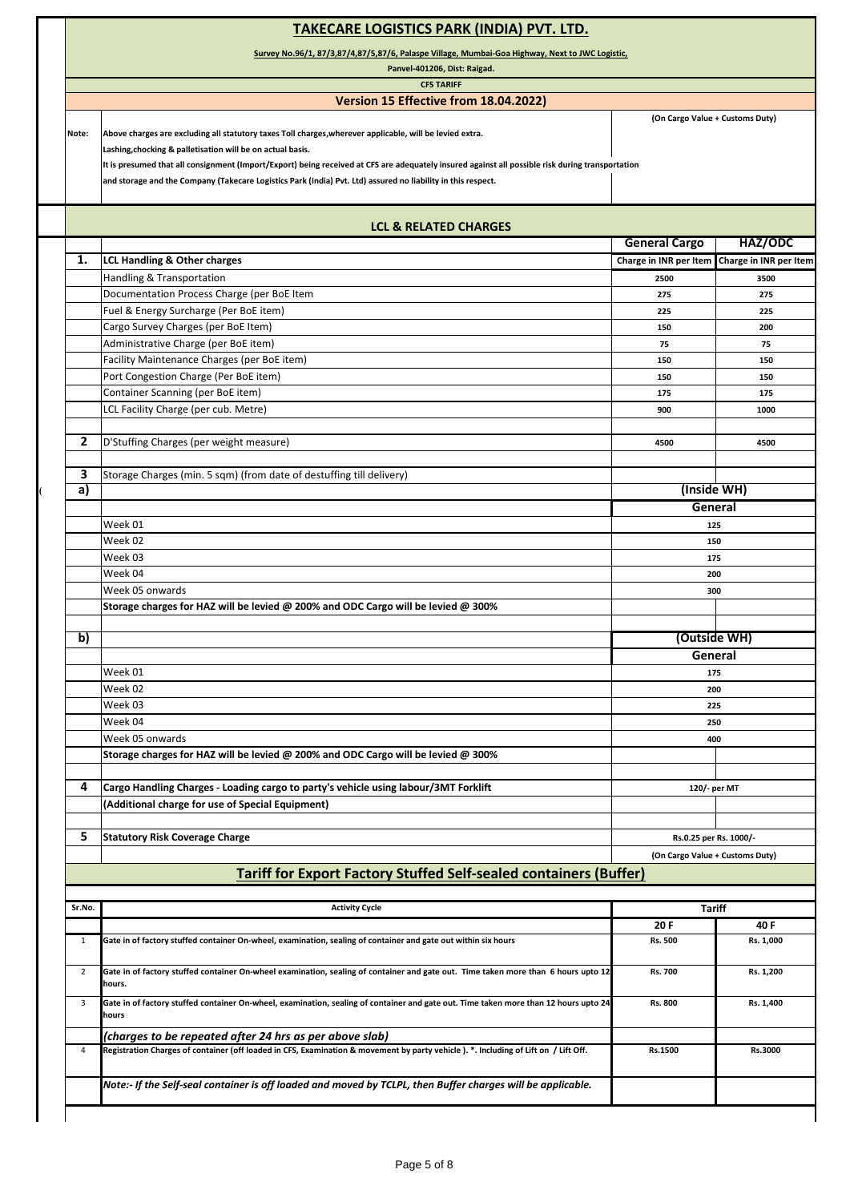### **TAKECARE LOGISTICS PARK (INDIA) PVT. LTD.**

**Survey No.96/1, 87/3,87/4,87/5,87/6, Palaspe Village, Mumbai-Goa Highway, Next to JWC Logistic,**

**Panvel-401206, Dist: Raigad.**

# **CFS TARIFF**

## **Version 15 Effective from 18.04.2022)**

**(On Cargo Value + Customs Duty)**

**Note: Above charges are excluding all statutory taxes Toll charges,wherever applicable, will be levied extra. Lashing,chocking & palletisation will be on actual basis.**

**It is presumed that all consignment (Import/Export) being received at CFS are adequately insured against all possible risk during transportation**

**and storage and the Company (Takecare Logistics Park (India) Pvt. Ltd) assured no liability in this respect.**

|                | <b>LCL &amp; RELATED CHARGES</b>                                                    |                        |                        |  |
|----------------|-------------------------------------------------------------------------------------|------------------------|------------------------|--|
|                |                                                                                     | <b>General Cargo</b>   | HAZ/ODC                |  |
| 1.             | <b>LCL Handling &amp; Other charges</b>                                             | Charge in INR per Item | Charge in INR per Item |  |
|                | Handling & Transportation                                                           | 2500                   | 3500                   |  |
|                | Documentation Process Charge (per BoE Item                                          | 275                    | 275                    |  |
|                | Fuel & Energy Surcharge (Per BoE item)                                              | 225                    | 225                    |  |
|                | Cargo Survey Charges (per BoE Item)                                                 | 150                    | 200                    |  |
|                | Administrative Charge (per BoE item)                                                | 75                     | 75                     |  |
|                | Facility Maintenance Charges (per BoE item)                                         | 150                    | 150                    |  |
|                | Port Congestion Charge (Per BoE item)                                               | 150                    | 150                    |  |
|                | Container Scanning (per BoE item)                                                   | 175                    | 175                    |  |
|                | LCL Facility Charge (per cub. Metre)                                                | 900                    | 1000                   |  |
| $\overline{2}$ | D'Stuffing Charges (per weight measure)                                             | 4500                   | 4500                   |  |
|                |                                                                                     |                        |                        |  |
| 3              | Storage Charges (min. 5 sqm) (from date of destuffing till delivery)                |                        |                        |  |
| a)             |                                                                                     | (Inside WH)            |                        |  |
|                |                                                                                     |                        | General                |  |
|                | Week 01                                                                             | 125                    |                        |  |
|                | Week 02                                                                             | 150                    |                        |  |
|                | Week 03                                                                             | 175                    |                        |  |
|                | Week 04                                                                             | 200                    |                        |  |
|                | Week 05 onwards                                                                     | 300                    |                        |  |
|                | Storage charges for HAZ will be levied @ 200% and ODC Cargo will be levied @ 300%   |                        |                        |  |
|                |                                                                                     |                        |                        |  |
| b)             |                                                                                     | (Outside WH)           |                        |  |
|                |                                                                                     | General                |                        |  |
|                | Week 01                                                                             | 175                    |                        |  |
|                | Week 02                                                                             |                        | 200                    |  |
|                | Week 03                                                                             |                        | 225                    |  |
|                | Week 04                                                                             | 250                    |                        |  |
|                | Week 05 onwards                                                                     | 400                    |                        |  |
|                | Storage charges for HAZ will be levied @ 200% and ODC Cargo will be levied @ 300%   |                        |                        |  |
|                |                                                                                     |                        |                        |  |
| 4              | Cargo Handling Charges - Loading cargo to party's vehicle using labour/3MT Forklift | 120/- per MT           |                        |  |
|                | (Additional charge for use of Special Equipment)                                    |                        |                        |  |
| 5              | <b>Statutory Risk Coverage Charge</b>                                               | Rs.0.25 per Rs. 1000/- |                        |  |
|                |                                                                                     |                        |                        |  |

| Sr.No.         | <b>Activity Cycle</b>                                                                                                                         | <b>Tariff</b>  |           |  |
|----------------|-----------------------------------------------------------------------------------------------------------------------------------------------|----------------|-----------|--|
|                |                                                                                                                                               | 20 F           | 40 F      |  |
|                | Gate in of factory stuffed container On-wheel, examination, sealing of container and gate out within six hours                                | <b>Rs. 500</b> | Rs. 1,000 |  |
| $\overline{2}$ | Gate in of factory stuffed container On-wheel examination, sealing of container and gate out. Time taken more than 6 hours upto 12<br>hours.  | <b>Rs. 700</b> | Rs. 1,200 |  |
| 3              | Gate in of factory stuffed container On-wheel, examination, sealing of container and gate out. Time taken more than 12 hours upto 24<br>hours | Rs. 800        | Rs. 1,400 |  |
|                | (charges to be repeated after 24 hrs as per above slab)                                                                                       |                |           |  |
| 4              | Registration Charges of container (off loaded in CFS, Examination & movement by party vehicle). *. Including of Lift on / Lift Off.           | Rs.1500        | Rs.3000   |  |
|                | Note:- If the Self-seal container is off loaded and moved by TCLPL, then Buffer charges will be applicable.                                   |                |           |  |
|                |                                                                                                                                               |                |           |  |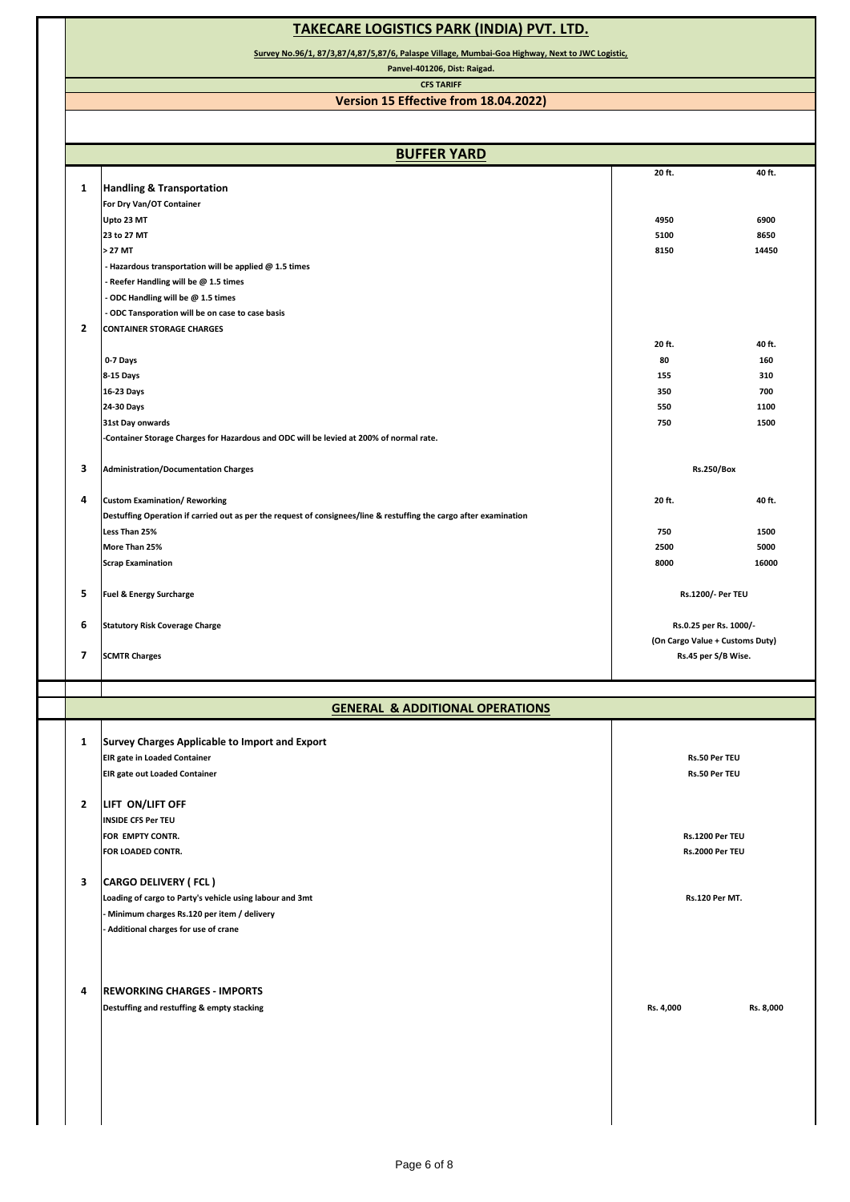## **TAKECARE LOGISTICS PARK (INDIA) PVT. LTD.**

**Survey No.96/1, 87/3,87/4,87/5,87/6, Palaspe Village, Mumbai-Goa Highway, Next to JWC Logistic,**

**Panvel-401206, Dist: Raigad.**

#### **CFS TARIFF Version 15 Effective from 18.04.2022)**

| <b>BUFFER YARD</b>                                                                                                 |                        |                                 |  |
|--------------------------------------------------------------------------------------------------------------------|------------------------|---------------------------------|--|
|                                                                                                                    | 20 ft.                 | 40 ft.                          |  |
| <b>Handling &amp; Transportation</b><br>1                                                                          |                        |                                 |  |
| For Dry Van/OT Container                                                                                           |                        |                                 |  |
| Upto 23 MT                                                                                                         | 4950                   | 6900                            |  |
| 23 to 27 MT                                                                                                        | 5100                   | 8650                            |  |
| > 27 MT                                                                                                            | 8150                   | 14450                           |  |
| - Hazardous transportation will be applied $@$ 1.5 times                                                           |                        |                                 |  |
| Reefer Handling will be @ 1.5 times                                                                                |                        |                                 |  |
| ODC Handling will be @ 1.5 times                                                                                   |                        |                                 |  |
| ODC Tansporation will be on case to case basis                                                                     |                        |                                 |  |
| $\mathbf{2}$<br><b>CONTAINER STORAGE CHARGES</b>                                                                   |                        |                                 |  |
|                                                                                                                    | 20 ft.                 | 40 ft.                          |  |
| 0-7 Days                                                                                                           | 80                     | 160                             |  |
| 8-15 Days                                                                                                          | 155                    | 310                             |  |
| 16-23 Days                                                                                                         | 350                    | 700                             |  |
| 24-30 Days                                                                                                         | 550                    | 1100                            |  |
| 31st Day onwards                                                                                                   | 750                    | 1500                            |  |
| -Container Storage Charges for Hazardous and ODC will be levied at 200% of normal rate.                            |                        |                                 |  |
|                                                                                                                    |                        |                                 |  |
| 3<br><b>Administration/Documentation Charges</b>                                                                   | <b>Rs.250/Box</b>      |                                 |  |
|                                                                                                                    |                        |                                 |  |
| 4<br><b>Custom Examination/ Reworking</b>                                                                          | 20 ft.                 | 40 ft.                          |  |
| Destuffing Operation if carried out as per the request of consignees/line & restuffing the cargo after examination |                        |                                 |  |
| Less Than 25%                                                                                                      | 750                    | 1500                            |  |
| More Than 25%                                                                                                      | 2500                   | 5000                            |  |
| <b>Scrap Examination</b>                                                                                           | 8000                   | 16000                           |  |
|                                                                                                                    |                        |                                 |  |
| 5<br><b>Fuel &amp; Energy Surcharge</b>                                                                            |                        | Rs.1200/- Per TEU               |  |
| 6<br><b>Statutory Risk Coverage Charge</b>                                                                         | Rs.0.25 per Rs. 1000/- |                                 |  |
|                                                                                                                    |                        | (On Cargo Value + Customs Duty) |  |
|                                                                                                                    |                        | Rs.45 per S/B Wise.             |  |
| 7<br><b>SCMTR Charges</b>                                                                                          |                        |                                 |  |
|                                                                                                                    |                        |                                 |  |
| <b>GENERAL &amp; ADDITIONAL OPERATIONS</b>                                                                         |                        |                                 |  |
| 1                                                                                                                  |                        |                                 |  |
| Survey Charges Applicable to Import and Export                                                                     |                        |                                 |  |
| <b>EIR gate in Loaded Container</b>                                                                                | Rs.50 Per TEU          |                                 |  |
| <b>EIR gate out Loaded Container</b>                                                                               | Rs.50 Per TEU          |                                 |  |
|                                                                                                                    |                        |                                 |  |
| $\overline{2}$<br>LIFT ON/LIFT OFF                                                                                 |                        |                                 |  |
| <b>INSIDE CFS Per TEU</b>                                                                                          |                        |                                 |  |
| FOR EMPTY CONTR.                                                                                                   | Rs.1200 Per TEU        |                                 |  |
| FOR LOADED CONTR.                                                                                                  | Rs.2000 Per TEU        |                                 |  |
|                                                                                                                    |                        |                                 |  |
| <b>CARGO DELIVERY (FCL)</b>                                                                                        |                        |                                 |  |
| Loading of cargo to Party's vehicle using labour and 3mt                                                           | <b>Rs.120 Per MT.</b>  |                                 |  |
| Minimum charges Rs.120 per item / delivery                                                                         |                        |                                 |  |
| Additional charges for use of crane                                                                                |                        |                                 |  |
| 3                                                                                                                  |                        |                                 |  |
| 4                                                                                                                  |                        |                                 |  |
| <b>REWORKING CHARGES - IMPORTS</b>                                                                                 |                        |                                 |  |
| Destuffing and restuffing & empty stacking                                                                         | Rs. 4,000              | Rs. 8,000                       |  |
|                                                                                                                    |                        |                                 |  |
|                                                                                                                    |                        |                                 |  |
|                                                                                                                    |                        |                                 |  |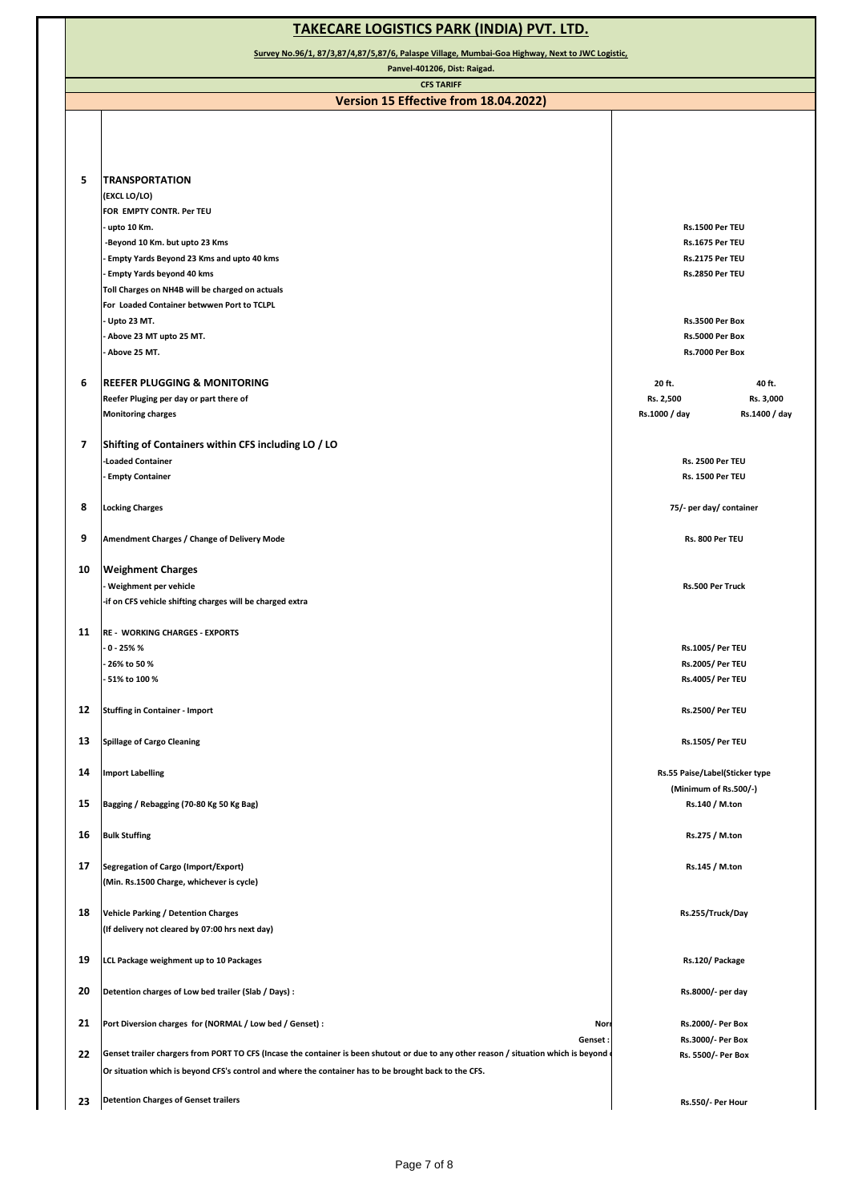| <b>TAKECARE LOGISTICS PARK (INDIA) PVT. LTD.</b>                                                |                                                                                                                                       |                                |               |  |
|-------------------------------------------------------------------------------------------------|---------------------------------------------------------------------------------------------------------------------------------------|--------------------------------|---------------|--|
| Survey No.96/1, 87/3,87/4,87/5,87/6, Palaspe Village, Mumbai-Goa Highway, Next to JWC Logistic, |                                                                                                                                       |                                |               |  |
| Panvel-401206, Dist: Raigad.                                                                    |                                                                                                                                       |                                |               |  |
|                                                                                                 | <b>CFS TARIFF</b><br>Version 15 Effective from 18.04.2022)                                                                            |                                |               |  |
|                                                                                                 |                                                                                                                                       |                                |               |  |
|                                                                                                 |                                                                                                                                       |                                |               |  |
|                                                                                                 |                                                                                                                                       |                                |               |  |
| 5                                                                                               | <b>TRANSPORTATION</b>                                                                                                                 |                                |               |  |
|                                                                                                 | (EXCL LO/LO)                                                                                                                          |                                |               |  |
|                                                                                                 | FOR EMPTY CONTR. Per TEU                                                                                                              |                                |               |  |
|                                                                                                 | - upto 10 Km.                                                                                                                         | Rs.1500 Per TEU                |               |  |
|                                                                                                 | -Beyond 10 Km. but upto 23 Kms                                                                                                        | Rs.1675 Per TEU                |               |  |
|                                                                                                 | - Empty Yards Beyond 23 Kms and upto 40 kms                                                                                           | Rs.2175 Per TEU                |               |  |
|                                                                                                 | <b>Empty Yards beyond 40 kms</b>                                                                                                      | Rs.2850 Per TEU                |               |  |
|                                                                                                 | Toll Charges on NH4B will be charged on actuals                                                                                       |                                |               |  |
|                                                                                                 | For Loaded Container betwwen Port to TCLPL<br>Upto 23 MT.                                                                             | Rs.3500 Per Box                |               |  |
|                                                                                                 | Above 23 MT upto 25 MT.                                                                                                               | Rs.5000 Per Box                |               |  |
|                                                                                                 | Above 25 MT.                                                                                                                          | Rs.7000 Per Box                |               |  |
|                                                                                                 |                                                                                                                                       |                                |               |  |
| 6                                                                                               | <b>REEFER PLUGGING &amp; MONITORING</b>                                                                                               | 20 ft.                         | 40 ft.        |  |
|                                                                                                 | Reefer Pluging per day or part there of                                                                                               | Rs. 2,500                      | Rs. 3,000     |  |
|                                                                                                 | <b>Monitoring charges</b>                                                                                                             | Rs.1000 / day                  | Rs.1400 / day |  |
|                                                                                                 |                                                                                                                                       |                                |               |  |
| $\overline{\mathbf{z}}$                                                                         | Shifting of Containers within CFS including LO / LO                                                                                   |                                |               |  |
|                                                                                                 | -Loaded Container                                                                                                                     | <b>Rs. 2500 Per TEU</b>        |               |  |
|                                                                                                 | - Empty Container                                                                                                                     | Rs. 1500 Per TEU               |               |  |
| 8                                                                                               | <b>Locking Charges</b>                                                                                                                | 75/- per day/ container        |               |  |
|                                                                                                 |                                                                                                                                       |                                |               |  |
| 9                                                                                               | Amendment Charges / Change of Delivery Mode                                                                                           | Rs. 800 Per TEU                |               |  |
|                                                                                                 |                                                                                                                                       |                                |               |  |
| 10                                                                                              | <b>Weighment Charges</b>                                                                                                              |                                |               |  |
|                                                                                                 | - Weighment per vehicle                                                                                                               | Rs.500 Per Truck               |               |  |
|                                                                                                 | -if on CFS vehicle shifting charges will be charged extra                                                                             |                                |               |  |
| 11                                                                                              |                                                                                                                                       |                                |               |  |
|                                                                                                 | <b>RE - WORKING CHARGES - EXPORTS</b><br>- 0 - 25% %                                                                                  | <b>Rs.1005/ Per TEU</b>        |               |  |
|                                                                                                 | - 26% to 50 %                                                                                                                         | <b>Rs.2005/ Per TEU</b>        |               |  |
|                                                                                                 | - 51% to 100 %                                                                                                                        | <b>Rs.4005/ Per TEU</b>        |               |  |
|                                                                                                 |                                                                                                                                       |                                |               |  |
| 12                                                                                              | <b>Stuffing in Container - Import</b>                                                                                                 | <b>Rs.2500/ Per TEU</b>        |               |  |
|                                                                                                 |                                                                                                                                       |                                |               |  |
| 13                                                                                              | <b>Spillage of Cargo Cleaning</b>                                                                                                     | <b>Rs.1505/ Per TEU</b>        |               |  |
|                                                                                                 |                                                                                                                                       |                                |               |  |
| 14                                                                                              | <b>Import Labelling</b>                                                                                                               | Rs.55 Paise/Label(Sticker type |               |  |
| 15                                                                                              |                                                                                                                                       | (Minimum of Rs.500/-)          |               |  |
|                                                                                                 | Bagging / Rebagging (70-80 Kg 50 Kg Bag)                                                                                              | Rs.140 / M.ton                 |               |  |
| 16                                                                                              | <b>Bulk Stuffing</b>                                                                                                                  | Rs.275 / M.ton                 |               |  |
|                                                                                                 |                                                                                                                                       |                                |               |  |
| 17                                                                                              | Segregation of Cargo (Import/Export)                                                                                                  | Rs.145 / M.ton                 |               |  |
|                                                                                                 | (Min. Rs.1500 Charge, whichever is cycle)                                                                                             |                                |               |  |
|                                                                                                 |                                                                                                                                       |                                |               |  |
| 18                                                                                              | <b>Vehicle Parking / Detention Charges</b>                                                                                            | Rs.255/Truck/Day               |               |  |
|                                                                                                 | (If delivery not cleared by 07:00 hrs next day)                                                                                       |                                |               |  |
|                                                                                                 |                                                                                                                                       |                                |               |  |
| 19                                                                                              | LCL Package weighment up to 10 Packages                                                                                               | Rs.120/Package                 |               |  |
| 20                                                                                              | Detention charges of Low bed trailer (Slab / Days) :                                                                                  | Rs.8000/- per day              |               |  |
|                                                                                                 |                                                                                                                                       |                                |               |  |
| 21                                                                                              | Port Diversion charges for (NORMAL / Low bed / Genset) :<br>Nor                                                                       | Rs.2000/- Per Box              |               |  |
|                                                                                                 | Genset:                                                                                                                               | Rs.3000/- Per Box              |               |  |
| 22                                                                                              | Genset trailer chargers from PORT TO CFS (Incase the container is been shutout or due to any other reason / situation which is beyond | Rs. 5500/- Per Box             |               |  |
|                                                                                                 | Or situation which is beyond CFS's control and where the container has to be brought back to the CFS.                                 |                                |               |  |
|                                                                                                 |                                                                                                                                       |                                |               |  |
| 23                                                                                              | <b>Detention Charges of Genset trailers</b>                                                                                           | Rs.550/- Per Hour              |               |  |